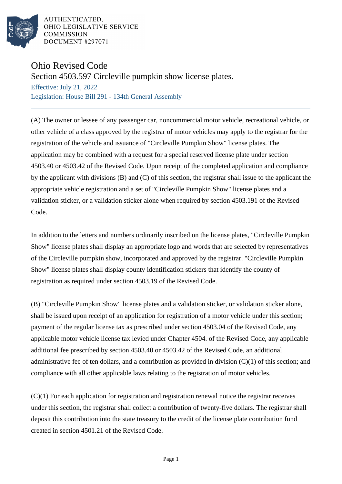

AUTHENTICATED. OHIO LEGISLATIVE SERVICE **COMMISSION DOCUMENT #297071** 

## Ohio Revised Code

Section 4503.597 Circleville pumpkin show license plates.

Effective: July 21, 2022 Legislation: House Bill 291 - 134th General Assembly

(A) The owner or lessee of any passenger car, noncommercial motor vehicle, recreational vehicle, or other vehicle of a class approved by the registrar of motor vehicles may apply to the registrar for the registration of the vehicle and issuance of "Circleville Pumpkin Show" license plates. The application may be combined with a request for a special reserved license plate under section 4503.40 or 4503.42 of the Revised Code. Upon receipt of the completed application and compliance by the applicant with divisions (B) and (C) of this section, the registrar shall issue to the applicant the appropriate vehicle registration and a set of "Circleville Pumpkin Show" license plates and a validation sticker, or a validation sticker alone when required by section 4503.191 of the Revised Code.

In addition to the letters and numbers ordinarily inscribed on the license plates, "Circleville Pumpkin Show" license plates shall display an appropriate logo and words that are selected by representatives of the Circleville pumpkin show, incorporated and approved by the registrar. "Circleville Pumpkin Show" license plates shall display county identification stickers that identify the county of registration as required under section 4503.19 of the Revised Code.

(B) "Circleville Pumpkin Show" license plates and a validation sticker, or validation sticker alone, shall be issued upon receipt of an application for registration of a motor vehicle under this section; payment of the regular license tax as prescribed under section 4503.04 of the Revised Code, any applicable motor vehicle license tax levied under Chapter 4504. of the Revised Code, any applicable additional fee prescribed by section 4503.40 or 4503.42 of the Revised Code, an additional administrative fee of ten dollars, and a contribution as provided in division (C)(1) of this section; and compliance with all other applicable laws relating to the registration of motor vehicles.

(C)(1) For each application for registration and registration renewal notice the registrar receives under this section, the registrar shall collect a contribution of twenty-five dollars. The registrar shall deposit this contribution into the state treasury to the credit of the license plate contribution fund created in section 4501.21 of the Revised Code.